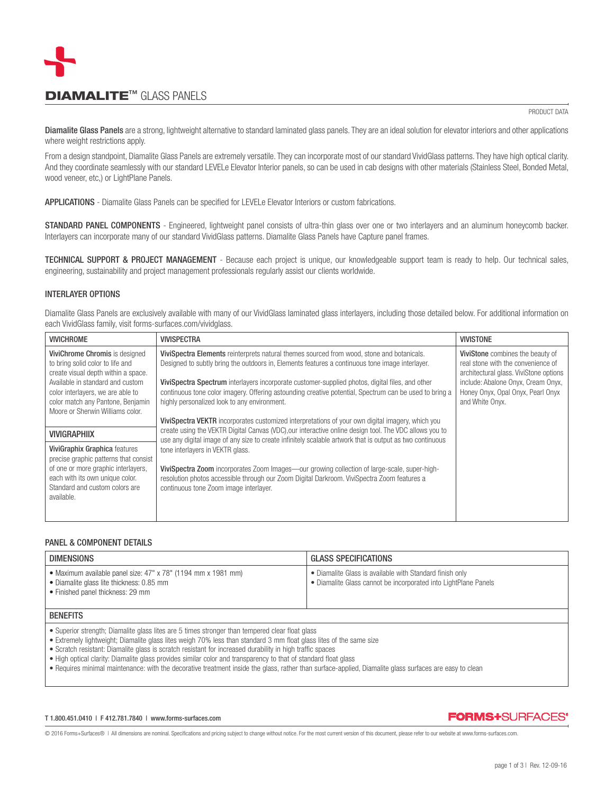

# **DIAMALITE™ GLASS PANELS**

PRODUCT DATA

Diamalite Glass Panels are a strong, lightweight alternative to standard laminated glass panels. They are an ideal solution for elevator interiors and other applications where weight restrictions apply.

From a design standpoint. Diamalite Glass Panels are extremely versatile. They can incorporate most of our standard VividGlass patterns. They have high optical clarity. And they coordinate seamlessly with our standard LEVELe Elevator Interior panels, so can be used in cab designs with other materials (Stainless Steel, Bonded Metal, wood veneer, etc,) or LightPlane Panels.

APPLICATIONS - Diamalite Glass Panels can be specified for LEVELe Elevator Interiors or custom fabrications.

STANDARD PANEL COMPONENTS - Engineered, lightweight panel consists of ultra-thin glass over one or two interlayers and an aluminum honeycomb backer. Interlayers can incorporate many of our standard VividGlass patterns. Diamalite Glass Panels have Capture panel frames.

TECHNICAL SUPPORT & PROJECT MANAGEMENT - Because each project is unique, our knowledgeable support team is ready to help. Our technical sales, engineering, sustainability and project management professionals regularly assist our clients worldwide.

## INTERLAYER OPTIONS

Diamalite Glass Panels are exclusively available with many of our VividGlass laminated glass interlayers, including those detailed below. For additional information on each VividGlass family, visit forms-surfaces.com/vividglass.

| <b>VIVICHROME</b>                                                                                                                                                                                                                                           | <b>VIVISPECTRA</b>                                                                                                                                                                                                                                                                                                                                                                                                                                                                              | <b>VIVISTONE</b>                                                                                                                                                                                               |
|-------------------------------------------------------------------------------------------------------------------------------------------------------------------------------------------------------------------------------------------------------------|-------------------------------------------------------------------------------------------------------------------------------------------------------------------------------------------------------------------------------------------------------------------------------------------------------------------------------------------------------------------------------------------------------------------------------------------------------------------------------------------------|----------------------------------------------------------------------------------------------------------------------------------------------------------------------------------------------------------------|
| ViviChrome Chromis is designed<br>to bring solid color to life and<br>create visual depth within a space.<br>Available in standard and custom<br>color interlayers, we are able to<br>color match any Pantone, Benjamin<br>Moore or Sherwin Williams color. | ViviSpectra Elements reinterprets natural themes sourced from wood, stone and botanicals.<br>Designed to subtly bring the outdoors in, Elements features a continuous tone image interlayer.<br>ViviSpectra Spectrum interlayers incorporate customer-supplied photos, digital files, and other<br>continuous tone color imagery. Offering astounding creative potential, Spectrum can be used to bring a<br>highly personalized look to any environment.                                       | ViviStone combines the beauty of<br>real stone with the convenience of<br>architectural glass. ViviStone options<br>include: Abalone Onyx, Cream Onyx,<br>Honey Onyx, Opal Onyx, Pearl Onyx<br>and White Onyx. |
|                                                                                                                                                                                                                                                             | <b>ViviSpectra VEKTR</b> incorporates customized interpretations of your own digital imagery, which you                                                                                                                                                                                                                                                                                                                                                                                         |                                                                                                                                                                                                                |
| <b>VIVIGRAPHIIX</b>                                                                                                                                                                                                                                         | create using the VEKTR Digital Canvas (VDC), our interactive online design tool. The VDC allows you to<br>use any digital image of any size to create infinitely scalable artwork that is output as two continuous<br>tone interlayers in VEKTR glass.<br>ViviSpectra Zoom incorporates Zoom Images—our growing collection of large-scale, super-high-<br>resolution photos accessible through our Zoom Digital Darkroom. ViviSpectra Zoom features a<br>continuous tone Zoom image interlayer. |                                                                                                                                                                                                                |
| ViviGraphix Graphica features<br>precise graphic patterns that consist<br>of one or more graphic interlayers,<br>each with its own unique color.<br>Standard and custom colors are<br>available.                                                            |                                                                                                                                                                                                                                                                                                                                                                                                                                                                                                 |                                                                                                                                                                                                                |

## PANEL & COMPONENT DETAILS

| <b>DIMENSIONS</b>                                                                                                                                                                                                                                                                                                                   | <b>GLASS SPECIFICATIONS</b>                                                                                                 |  |  |  |
|-------------------------------------------------------------------------------------------------------------------------------------------------------------------------------------------------------------------------------------------------------------------------------------------------------------------------------------|-----------------------------------------------------------------------------------------------------------------------------|--|--|--|
| • Maximum available panel size: 47" x 78" (1194 mm x 1981 mm)<br>• Diamalite glass lite thickness: 0.85 mm<br>• Finished panel thickness: 29 mm                                                                                                                                                                                     | • Diamalite Glass is available with Standard finish only<br>• Diamalite Glass cannot be incorporated into LightPlane Panels |  |  |  |
| <b>BENEFITS</b>                                                                                                                                                                                                                                                                                                                     |                                                                                                                             |  |  |  |
| • Superior strength; Diamalite glass lites are 5 times stronger than tempered clear float glass<br>• Extremely lightweight; Diamalite glass lites weigh 70% less than standard 3 mm float glass lites of the same size<br>• Scratch resistant: Diamalite glass is scratch resistant for increased durability in high traffic spaces |                                                                                                                             |  |  |  |

• High optical clarity: Diamalite glass provides similar color and transparency to that of standard float glass

• Requires minimal maintenance: with the decorative treatment inside the glass, rather than surface-applied, Diamalite glass surfaces are easy to clean

#### T 1.800.451.0410 | F 412.781.7840 | www.forms-surfaces.com

## **FORMS+SURFACES\***

© 2016 Forms+Surfaces® | All dimensions are nominal. Specifications and pricing subject to change without notice. For the most current version of this document, please refer to our website at www.forms-surfaces.com.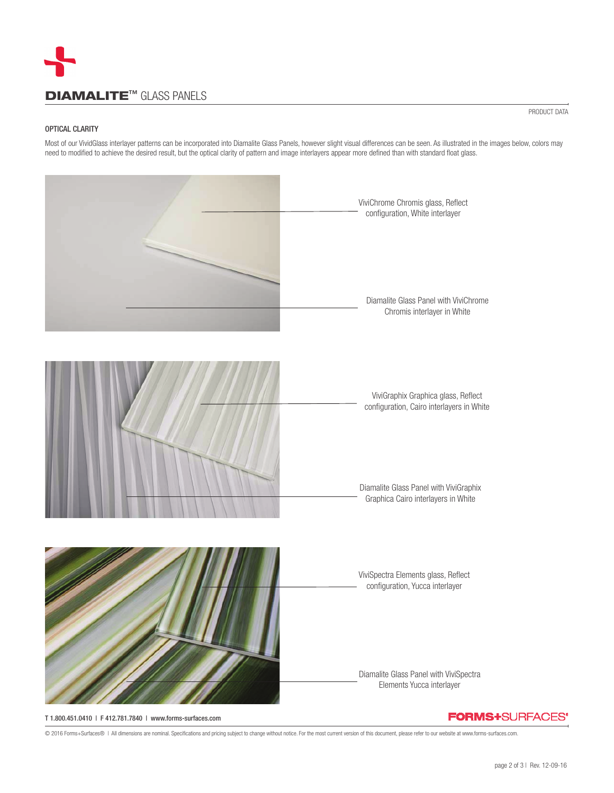

### OPTICAL CLARITY

Most of our VividGlass interlayer patterns can be incorporated into Diamalite Glass Panels, however slight visual differences can be seen. As illustrated in the images below, colors may need to modified to achieve the desired result, but the optical clarity of pattern and image interlayers appear more defined than with standard float glass.



T 1.800.451.0410 | F 412.781.7840 | www.forms-surfaces.com

© 2016 Forms+Surfaces® | All dimensions are nominal. Specifications and pricing subject to change without notice. For the most current version of this document, please refer to our website at www.forms-surfaces.com.

PRODUCT DATA